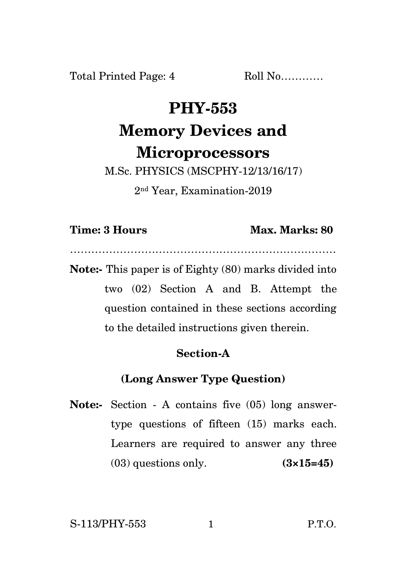Total Printed Page: 4 Roll No............

# **PHY-553 Memory Devices and Microprocessors**

M.Sc. PHYSICS (MSCPHY-12/13/16/17) 2 nd Year, Examination-2019

#### **Time: 3 Hours Max. Marks: 80**

**Note:-** This paper is of Eighty (80) marks divided into two (02) Section A and B. Attempt the question contained in these sections according to the detailed instructions given therein.

…………………………………………………………………

## **Section-A**

## **(Long Answer Type Question)**

**Note:-** Section - A contains five (05) long answertype questions of fifteen (15) marks each. Learners are required to answer any three (03) questions only. **(3×15=45)**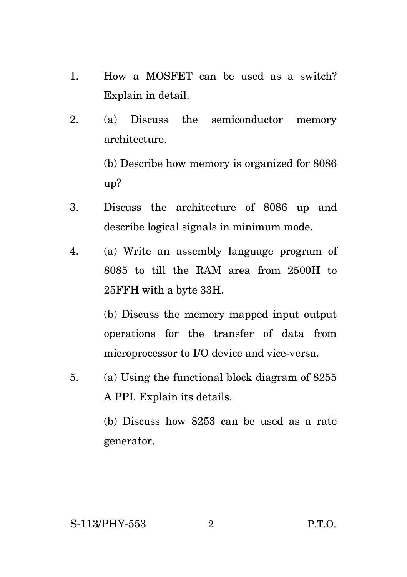- 1. How a MOSFET can be used as a switch? Explain in detail.
- 2. (a) Discuss the semiconductor memory architecture.

(b) Describe how memory is organized for 8086 up?

- 3. Discuss the architecture of 8086 up and describe logical signals in minimum mode.
- 4. (a) Write an assembly language program of 8085 to till the RAM area from 2500H to 25FFH with a byte 33H.

(b) Discuss the memory mapped input output operations for the transfer of data from microprocessor to I/O device and vice-versa.

5. (a) Using the functional block diagram of 8255 A PPI. Explain its details.

> (b) Discuss how 8253 can be used as a rate generator.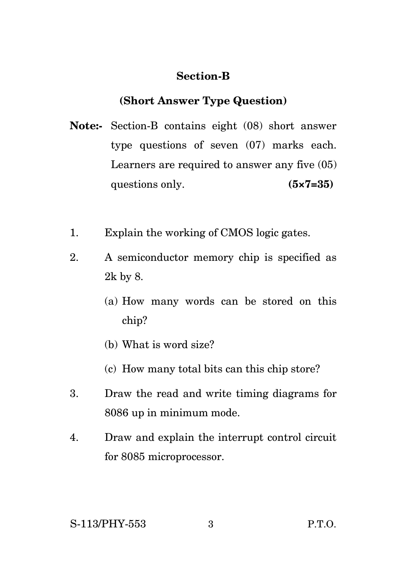#### **Section-B**

#### **(Short Answer Type Question)**

- **Note:-** Section-B contains eight (08) short answer type questions of seven (07) marks each. Learners are required to answer any five (05) questions only. **(5×7=35)**
- 1. Explain the working of CMOS logic gates.
- 2. A semiconductor memory chip is specified as 2k by 8.
	- (a) How many words can be stored on this chip?
	- (b) What is word size?
	- (c) How many total bits can this chip store?
- 3. Draw the read and write timing diagrams for 8086 up in minimum mode.
- 4. Draw and explain the interrupt control circuit for 8085 microprocessor.

#### S-113/PHY-553 3 P.T.O.